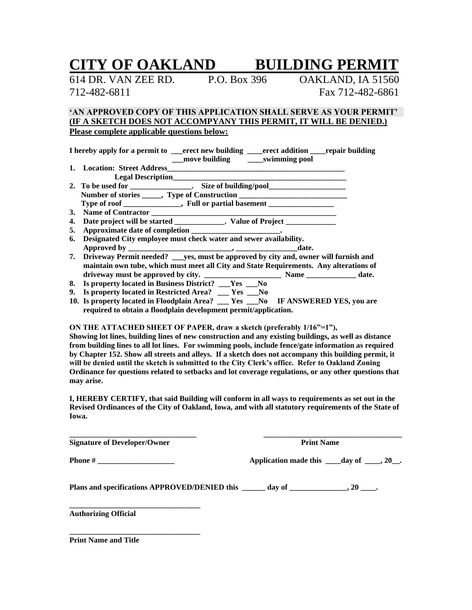# **CITY OF OAKLAND BUILDING PERMIT**

614 DR. VAN ZEE RD. P.O. Box 396 OAKLAND, IA 51560 712-482-6811 Fax 712-482-6861

### **'AN APPROVED COPY OF THIS APPLICATION SHALL SERVE AS YOUR PERMIT' (IF A SKETCH DOES NOT ACCOMPYANY THIS PERMIT, IT WILL BE DENIED.) Please complete applicable questions below:**

| I hereby apply for a permit to |               | erect new building erect addition repair building |  |
|--------------------------------|---------------|---------------------------------------------------|--|
|                                | move building | swimming pool                                     |  |
| 1. Location: Street Address    |               |                                                   |  |
| <b>Legal Description</b>       |               |                                                   |  |

| 2. To be used for                                               | Size of building/pool      |  |
|-----------------------------------------------------------------|----------------------------|--|
| Number of stories ______, Type of Construction                  |                            |  |
| Type of roof                                                    | , Full or partial basement |  |
| $\mathbf{M}$ and $\mathbf{M}$ and $\mathbf{M}$ and $\mathbf{M}$ |                            |  |

- **3. Name of Contractor \_\_\_\_\_\_\_\_\_\_\_\_\_\_\_\_\_\_\_\_\_\_\_\_\_\_\_\_\_\_\_\_\_\_\_\_\_\_\_\_\_\_\_\_\_\_\_\_**
- **4. Date project will be started \_\_\_\_\_\_\_\_\_\_\_\_\_. Value of Project \_\_\_\_\_\_\_\_\_\_\_\_\_**
- **5. Approximate date of completion \_\_\_\_\_\_\_\_\_\_\_\_\_\_\_\_\_\_\_\_\_\_\_.**
- **6. Designated City employee must check water and sewer availability. Approved by \_\_\_\_\_\_\_\_\_\_\_\_\_\_\_\_\_\_\_\_\_\_\_\_\_\_\_, \_\_\_\_\_\_\_\_\_\_\_\_\_\_\_\_date.**
- **7. Driveway Permit needed? \_\_\_yes, must be approved by city and, owner will furnish and maintain own tube, which must meet all City and State Requirements. Any alterations of driveway must be approved by city. \_\_\_\_\_\_\_\_\_\_\_\_\_\_\_\_\_\_\_\_ Name \_\_\_\_\_\_\_\_\_\_\_\_\_ date.**
- **8. Is property located in Business District? \_\_\_Yes \_\_\_No**
- **9. Is property located in Restricted Area? \_\_\_ Yes \_\_\_No**
- **10. Is property located in Floodplain Area? \_\_\_ Yes \_\_\_No IF ANSWERED YES, you are required to obtain a floodplain development permit/application.**

#### **ON THE ATTACHED SHEET OF PAPER, draw a sketch (preferably 1/16"=1"),**

**Showing lot lines, building lines of new construction and any existing buildings, as well as distance from building lines to all lot lines. For swimming pools, include fence/gate information as required by Chapter 152. Show all streets and alleys. If a sketch does not accompany this building permit, it will be denied until the sketch is submitted to the City Clerk's office. Refer to Oakland Zoning Ordinance for questions related to setbacks and lot coverage regulations, or any other questions that may arise.**

**I, HEREBY CERTIFY, that said Building will conform in all ways to requirements as set out in the Revised Ordinances of the City of Oakland, Iowa, and with all statutory requirements of the State of Iowa.**

| <b>Signature of Developer/Owner</b> | <b>Print Name</b>                                               |  |  |
|-------------------------------------|-----------------------------------------------------------------|--|--|
|                                     | Application made this $\_\_\_day\$ of $\_\_\_\,, 20\_\_\cdot$ . |  |  |
|                                     |                                                                 |  |  |
| <b>Authorizing Official</b>         |                                                                 |  |  |

**\_\_\_\_\_\_\_\_\_\_\_\_\_\_\_\_\_\_\_\_\_\_\_\_\_\_\_\_\_\_\_\_\_\_ Print Name and Title**